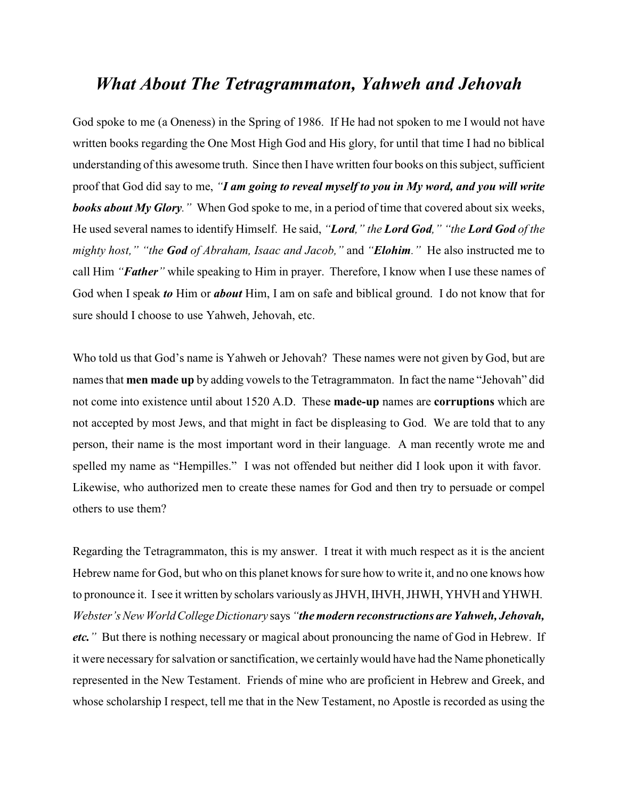## *What About The Tetragrammaton, Yahweh and Jehovah*

God spoke to me (a Oneness) in the Spring of 1986. If He had not spoken to me I would not have written books regarding the One Most High God and His glory, for until that time I had no biblical understanding of this awesome truth. Since then I have written four books on this subject, sufficient proof that God did say to me, *"I am going to reveal myself to you in My word, and you will write books about My Glory."* When God spoke to me, in a period of time that covered about six weeks, He used several names to identify Himself. He said, *"Lord," the Lord God," "the Lord God of the mighty host," "the God of Abraham, Isaac and Jacob,"* and *"Elohim."* He also instructed me to call Him *"Father"* while speaking to Him in prayer. Therefore, I know when I use these names of God when I speak *to* Him or *about* Him, I am on safe and biblical ground. I do not know that for sure should I choose to use Yahweh, Jehovah, etc.

Who told us that God's name is Yahweh or Jehovah? These names were not given by God, but are names that **men made up** by adding vowels to the Tetragrammaton. In fact the name "Jehovah" did not come into existence until about 1520 A.D. These **made-up** names are **corruptions** which are not accepted by most Jews, and that might in fact be displeasing to God. We are told that to any person, their name is the most important word in their language. A man recently wrote me and spelled my name as "Hempilles." I was not offended but neither did I look upon it with favor. Likewise, who authorized men to create these names for God and then try to persuade or compel others to use them?

Regarding the Tetragrammaton, this is my answer. I treat it with much respect as it is the ancient Hebrew name for God, but who on this planet knows for sure how to write it, and no one knows how to pronounce it. Isee it written by scholars variously as JHVH, IHVH, JHWH, YHVH and YHWH. *Webster's New WorldCollegeDictionary* says *"the modern reconstructions are Yahweh, Jehovah, etc."* But there is nothing necessary or magical about pronouncing the name of God in Hebrew. If it were necessary for salvation or sanctification, we certainly would have had the Name phonetically represented in the New Testament. Friends of mine who are proficient in Hebrew and Greek, and whose scholarship I respect, tell me that in the New Testament, no Apostle is recorded as using the